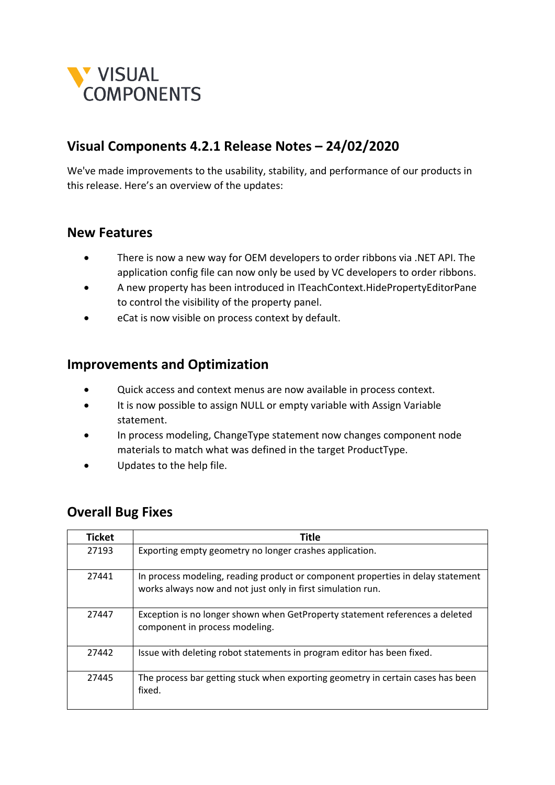

## **Visual Components 4.2.1 Release Notes – 24/02/2020**

We've made improvements to the usability, stability, and performance of our products in this release. Here's an overview of the updates:

## **New Features**

- There is now a new way for OEM developers to order ribbons via .NET API. The application config file can now only be used by VC developers to order ribbons.
- A new property has been introduced in ITeachContext.HidePropertyEditorPane to control the visibility of the property panel.
- eCat is now visible on process context by default.

## **Improvements and Optimization**

- Quick access and context menus are now available in process context.
- It is now possible to assign NULL or empty variable with Assign Variable statement.
- In process modeling, ChangeType statement now changes component node materials to match what was defined in the target ProductType.
- Updates to the help file.

## **Overall Bug Fixes**

| <b>Ticket</b> | <b>Title</b>                                                                                                                                   |
|---------------|------------------------------------------------------------------------------------------------------------------------------------------------|
| 27193         | Exporting empty geometry no longer crashes application.                                                                                        |
| 27441         | In process modeling, reading product or component properties in delay statement<br>works always now and not just only in first simulation run. |
| 27447         | Exception is no longer shown when GetProperty statement references a deleted<br>component in process modeling.                                 |
| 27442         | Issue with deleting robot statements in program editor has been fixed.                                                                         |
| 27445         | The process bar getting stuck when exporting geometry in certain cases has been<br>fixed.                                                      |